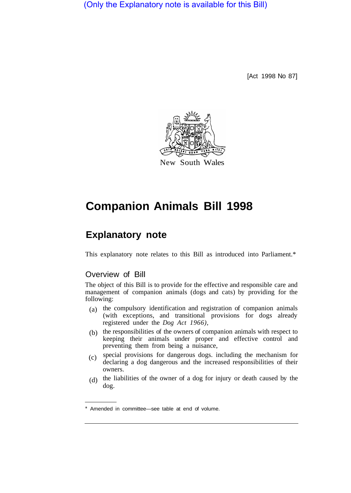(Only the Explanatory note is available for this Bill)

[Act 1998 No 87]



# **Companion Animals Bill 1998**

# **Explanatory note**

This explanatory note relates to this Bill as introduced into Parliament.\*

# Overview of Bill

The object of this Bill is to provide for the effective and responsible care and management of companion animals (dogs and cats) by providing for the following:

- (a) the compulsory identification and registration of companion animals (with exceptions, and transitional provisions for dogs already registered under the *Dog Act 1966),*
- $(b)$  the responsibilities of the owners of companion animals with respect to keeping their animals under proper and effective control and preventing them from being a nuisance,
- special provisions for dangerous dogs. including the mechanism for declaring a dog dangerous and the increased responsibilities of their owners.  $(c)$
- (d) the liabilities of the owner of a dog for injury or death caused by the dog.

Amended in committee—see table at end of volume.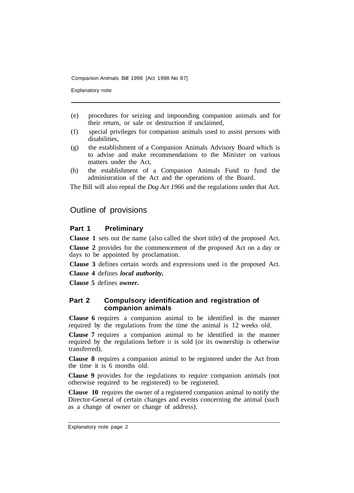Explanatory note

- (e) procedures for seizing and impounding companion animals and for their return, or sale or destruction if unclaimed,
- (f) special privileges for companion animals used to assist persons with disabilities,
- (g) the establishment of a Companion Animals Advisory Board which is to advise and make recommendations to the Minister on various matters under the Act,
- (h) the establishment of a Companion Animals Fund to fund the administration of the Act and the operations of the Board.

The Bill will also repeal the *Dog Act 1966* and the regulations under that Act.

# Outline of provisions

# **Part 1 Preliminary**

**Clause 1** sets out the name (also called the short title) of the proposed Act.

**Clause 2** provides for the commencement of the proposed Act on a day or days to be appointed by proclamation.

**Clause 3** defines certain words and expressions used in the proposed Act.

**Clause 4** defines *local authority.* 

**Clause 5** defines *owner.* 

### **Part 2 Compulsory identification and registration of companion animals**

**Clause 6** requires a companion animal to be identified in the manner required by the regulations from the time the animal is 12 weeks old.

**Clause 7** requires a companion animal to be identified in the manner required by the regulations before it is sold (or its ownership is otherwise transferred).

**Clause 8** requires a companion animal to be registered under the Act from the time it is 6 months old.

**Clause 9** provides for the regulations to require companion animals (not otherwise required to be registered) to be registered.

**Clause 10** requires the owner of a registered companion animal to notify the Director-General of certain changes and events concerning the animal (such as a change of owner or change of address).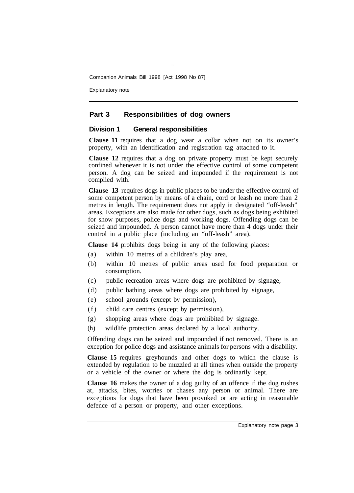Explanatory note

# **Part 3 Responsibilities of dog owners**

#### **Division 1 General responsibilities**

**Clause 11** requires that a dog wear a collar when not on its owner's property, with an identification and registration tag attached to it.

**Clause 12** requires that a dog on private property must be kept securely confined whenever it is not under the effective control of some competent person. A dog can be seized and impounded if the requirement is not complied with.

**Clause 13** requires dogs in public places to be under the effective control of some competent person by means of a chain, cord or leash no more than 2 metres in length. The requirement does not apply in designated "off-leash" areas. Exceptions are also made for other dogs, such as dogs being exhibited for show purposes, police dogs and working dogs. Offending dogs can be seized and impounded. A person cannot have more than 4 dogs under their control in a public place (including an "off-leash" area).

**Clause 14** prohibits dogs being in any of the following places:

- (a) within 10 metres of a children's play area,
- (b) within 10 metres of public areas used for food preparation or consumption.
- (c) public recreation areas where dogs are prohibited by signage,
- (d) public bathing areas where dogs are prohibited by signage,
- (e) school grounds (except by permission),
- (f) child care centres (except by permission),
- (g) shopping areas where dogs are prohibited by signage.
- (h) wildlife protection areas declared by a local authority.

Offending dogs can be seized and impounded if not removed. There is an exception for police dogs and assistance animals for persons with a disability.

**Clause 15** requires greyhounds and other dogs to which the clause is extended by regulation to be muzzled at all times when outside the property or a vehicle of the owner or where the dog is ordinarily kept.

**Clause 16** makes the owner of a dog guilty of an offence if the dog rushes at, attacks, bites, worries or chases any person or animal. There are exceptions for dogs that have been provoked or are acting in reasonable defence of a person or property, and other exceptions.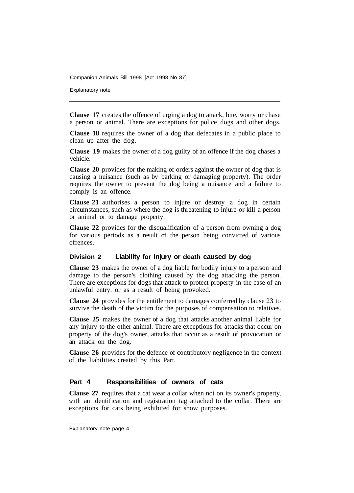Explanatory note

**Clause 17** creates the offence of urging a dog to attack, bite, worry or chase a person or animal. There are exceptions for police dogs and other dogs.

**Clause 18** requires the owner of a dog that defecates in a public place to clean up after the dog.

**Clause 19** makes the owner of a dog guilty of an offence if the dog chases a vehicle.

**Clause 20** provides for the making of orders against the owner of dog that is causing a nuisance (such as by barking or damaging property). The order requires the owner to prevent the dog being a nuisance and a failure to comply is an offence.

**Clause 21** authorises a person to injure or destroy a dog in certain circumstances, such as where the dog is threatening to injure or kill a person or animal or to damage property.

**Clause 22** provides for the disqualification of a person from owning a dog for various periods as a result of the person being convicted of various offences.

## **Division 2 Liability for injury or death caused by dog**

**Clause 23** makes the owner of a dog liable for bodily injury to a person and damage to the person's clothing caused by the dog attacking the person. There are exceptions for dogs that attack to protect property in the case of an unlawful entry. or as a result of being provoked.

**Clause 24** provides for the entitlement to damages conferred by clause 23 to survive the death of the victim for the purposes of compensation to relatives.

**Clause 25** makes the owner of a dog that attacks another animal liable for any injury to the other animal. There are exceptions for attacks that occur on property of the dog's owner, attacks that occur as a result of provocation or an attack on the dog.

**Clause 26** provides for the defence of contributory negligence in the context of the liabilities created by this Part.

#### **Part 4 Responsibilities of owners of cats**

**Clause 27** requires that a cat wear a collar when not on its owner's property, with an identification and registration tag attached to the collar. There are exceptions for cats being exhibited for show purposes.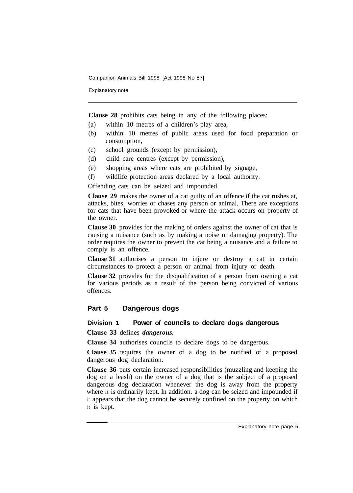Explanatory note

**Clause 28** prohibits cats being in any of the following places:

- (a) within 10 metres of a children's play area,
- (b) within 10 metres of public areas used for food preparation or consumption,
- (c) school grounds (except by permission),
- (d) child care centres (except by permission),
- (e) shopping areas where cats are prohibited by signage,
- (f) wildIife protection areas declared by a local authority.

Offending cats can be seized and impounded.

**Clause 29** makes the owner of a cat guilty of an offence if the cat rushes at, attacks, bites, worries or chases any person or animal. There are exceptions for cats that have been provoked or where the attack occurs on property of the owner.

**Clause 30** provides for the making of orders against the owner of cat that is causing a nuisance (such as by making a noise or damaging property). The order requires the owner to prevent the cat being a nuisance and a failure to comply is an offence.

**Clause 31** authorises a person to injure or destroy a cat in certain circumstances to protect a person or animal from injury or death.

**Clause 32** provides for the disqualification of a person from owning a cat for various periods as a result of the person being convicted of various offences.

## **Part 5 Dangerous dogs**

#### **Division 1 Power of councils to declare dogs dangerous**

**Clause 33** defines *dangerous.* 

**Clause 34** authorises councils to declare dogs to be dangerous.

**Clause 35** requires the owner of a dog to be notified of a proposed dangerous dog declaration.

**Clause 36** puts certain increased responsibilities (muzzling and keeping the dog on a leash) on the owner of a dog that is the subject of a proposed dangerous dog declaration whenever the dog is away from the property where it is ordinarily kept. In addition. a dog can be seized and impounded if it appears that the dog cannot be securely confined on the property on which it is kept.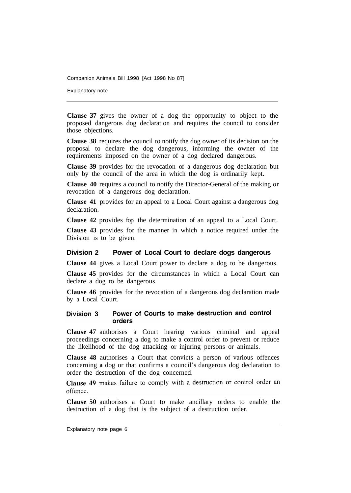Explanatory note

**Clause 37** gives the owner of a dog the opportunity to object to the proposed dangerous dog declaration and requires the council to consider those objections.

**Clause 38** requires the council to notify the dog owner of its decision on the proposal to declare the dog dangerous, informing the owner of the requirements imposed on the owner of a dog declared dangerous.

**Clause 39** provides for the revocation of a dangerous dog declaration but only by the council of the area in which the dog is ordinarily kept.

**Clause 40** requires a council to notify the Director-General of the making or revocation of a dangerous dog declaration.

**Clause 41** provides for an appeal to a Local Court against a dangerous dog declaration.

**Clause 42** provides fop. the determination of an appeal to a Local Court.

**Clause 43** provides for the manner in which a notice required under the Division is to be given.

#### **Division 2 Power of Local Court to declare dogs dangerous**

**Clause 44** gives a Local Court power to declare a dog to be dangerous.

**Clause 45** provides for the circumstances in which a Local Court can declare a dog to be dangerous.

**Clause 46** provides for the revocation of a dangerous dog declaration made by a Local Court.

#### Power of Courts to make destruction and control Division 3 orders

**Clause 47** authorises a Court hearing various criminal and appeal proceedings concerning a dog to make a control order to prevent or reduce the likelihood of the dog attacking or injuring persons or animals.

**Clause 48** authorises a Court that convicts a person of various offences concerning **a** dog or that confirms a council's dangerous dog declaration to order the destruction of the dog concerned.

Clause 49 makes failure to comply with a destruction or control order an offence.

**Clause 50** authorises a Court to make ancillary orders to enable the destruction of a dog that is the subject of a destruction order.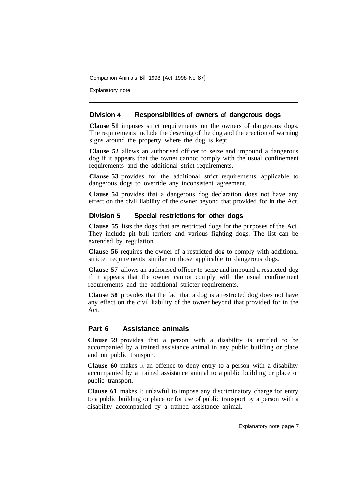Explanatory note

# **Division 4 Responsibilities of owners of dangerous dogs**

**Clause 51** imposes strict requirements on the owners of dangerous dogs. The requirements include the desexing of the dog and the erection of warning signs around the property where the dog is kept.

**Clause 52** allows an authorised officer to seize and impound a dangerous dog if it appears that the owner cannot comply with the usual confinement requirements and the additional strict requirements.

**Clause 53** provides for the additional strict requirements applicable to dangerous dogs to override any inconsistent agreement.

**Clause 54** provides that a dangerous dog declaration does not have any effect on the civil liability of the owner beyond that provided for in the Act.

# **Division 5 Special restrictions for other dogs**

**Clause 55** lists the dogs that are restricted dogs for the purposes of the Act. They include pit bull terriers and various fighting dogs. The list can be extended by regulation.

**Clause 56** requires the owner of a restricted dog to comply with additional stricter requirements similar to those applicable to dangerous dogs.

**Clause 57** allows an authorised officer to seize and impound a restricted dog if it appears that the owner cannot comply with the usual confinement requirements and the additional stricter requirements.

**Clause 58** provides that the fact that a dog is a restricted dog does not have any effect on the civil liability of the owner beyond that provided for in the Act.

# **Part 6 Assistance animals**

**Clause 59** provides that a person with a disability is entitled to be accompanied by a trained assistance animal in any public building or place and on public transport.

**Clause 60** makes it an offence to deny entry to a person with a disability accompanied by a trained assistance animal to a public building or place or public transport.

**Clause 61** makes it unlawful to impose any discriminatory charge for entry to a public building or place or for use of public transport by a person with a disability accompanied by a trained assistance animal.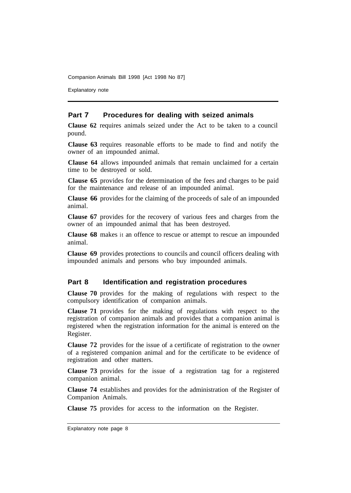Explanatory note

#### **Part 7 Procedures for dealing with seized animals**

**Clause 62** requires animals seized under the Act to be taken to a council pound.

**Clause 63** requires reasonable efforts to be made to find and notify the owner of an impounded animal.

**Clause 64** allows impounded animals that remain unclaimed for a certain time to be destroyed or sold.

**Clause 65** provides for the determination of the fees and charges to be paid for the maintenance and release of an impounded animal.

**Clause 66** provides for the claiming of the proceeds of sale of an impounded animal.

**Clause 67** provides for the recovery of various fees and charges from the owner of an impounded animal that has been destroyed.

**Clause 68** makes it an offence to rescue or attempt to rescue an impounded animal.

**Clause 69** provides protections to councils and council officers dealing with impounded animals and persons who buy impounded animals.

## **Part 8 Identification and registration procedures**

**Clause 70** provides for the making of regulations with respect to the compulsory identification of companion animals.

**Clause 71** provides for the making of regulations with respect to the registration of companion animals and provides that a companion animal is registered when the registration information for the animal is entered on the Register.

**Clause 72** provides for the issue of a certificate of registration to the owner of a registered companion animal and for the certificate to be evidence of registration and other matters.

**Clause 73** provides for the issue of a registration tag for a registered companion animal.

**Clause 74** establishes and provides for the administration of the Register of Companion Animals.

**Clause 75** provides for access to the information on the Register.

Explanatory note page 8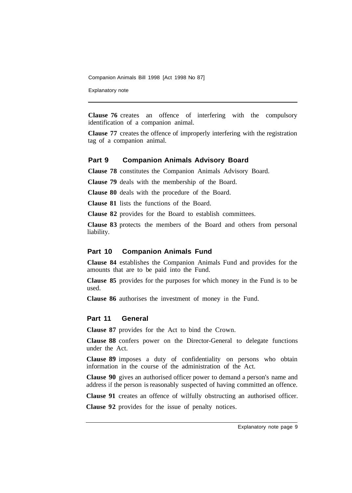Explanatory note

**Clause 76** creates an offence of interfering with the compulsory identification of a companion animal.

**Clause 77** creates the offence of improperly interfering with the registration tag of a companion animal.

#### **Part 9 Companion Animals Advisory Board**

**Clause 78** constitutes the Companion Animals Advisory Board.

**Clause 79** deals with the membership of the Board.

**Clause 80** deals with the procedure of the Board.

**Clause 81** lists the functions of the Board.

**Clause 82** provides for the Board to establish committees.

**Clause 83** protects the members of the Board and others from personal liability.

### **Part 10 Companion Animals Fund**

**Clause 84** establishes the Companion Animals Fund and provides for the amounts that are to be paid into the Fund.

**Clause 85** provides for the purposes for which money in the Fund is to be used.

**Clause 86** authorises the investment of money in the Fund.

# **Part 11 General**

**Clause 87** provides for the Act to bind the Crown.

**Clause 88** confers power on the Director-General to delegate functions under the Act.

**Clause 89** imposes a duty of confidentiality on persons who obtain information in the course of the administration of the Act.

**Clause 90** gives an authorised officer power to demand a person's name and address if the person is reasonably suspected of having committed an offence.

**Clause 91** creates an offence of wilfully obstructing an authorised officer.

**Clause 92** provides for the issue of penalty notices.